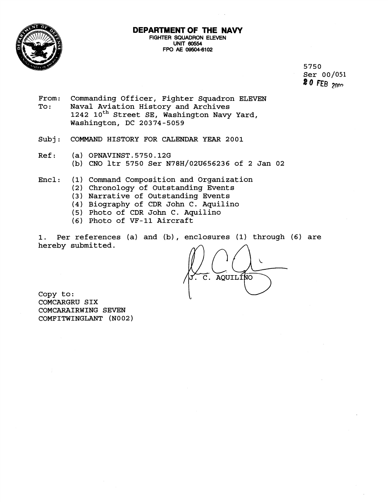

## **DEPARTMENT OF THE NAVY FIGHTER SQUADRON ELEVEN UNIT 60554 FPO AE 09504-6102**

5750 Ser 00/051 *8* **Q FEB** 2nrn

- From: Commanding Officer, Fighter Squadron ELEVEN<br>To: Naval Aviation History and Archives Naval Aviation History and Archives 1242 10<sup>th</sup> Street SE, Washington Navy Yard, Washington, DC 20374-5059
- Subj: COMMAND HISTORY FOR CALENDAR YEAR 2001
- Ref : (a) OPNAVINST.5750.12G (b) CNO ltr 5750 Ser N78H/02U656236 of 2 Jan 02
- Encl: (1) Command Composition and Organization
	- (2) Chronology of Outstanding Events
	- (3) Narrative of Outstanding Events
	- (4) Biography of CDR John C. Aquilino
	- (5) Photo of CDR John C. Aquilino
	- (6) Photo of VF-11 Aircraft

1. Per references (a) and (b) , enclosures (1) through (6) are hereby submitted.

AQUILINO  $\overline{\mathsf{c}}$  .

Copy to: COMCARGRU SIX COMCARAIRWING SEVEN COMFITWINGLANT (N002)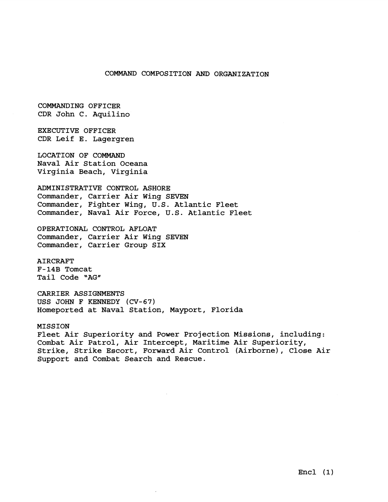## COMMAND COMPOSITION **AND** ORGANIZATION

COMMANDING OFFICER CDR John C. Aquilino

EXECUTIVE OFFICER CDR Leif E. Lagergren

LOCATION OF COMMAND Naval Air Station Oceana Virginia Beach, Virginia

ADMINISTRATIVE CONTROL ASHORE Commander, Carrier Air Wing SEVEN Commander, Fighter Wing, U.S. Atlantic Fleet Commander, Naval Air Force, U.S. Atlantic Fleet

OPERATIONAL CONTROL AFLOAT Commander, Carrier Air Wing SEVEN Commander, Carrier Group SIX

AIRCRAFT F-14B Tomcat Tail Code "AG"

CARRIER ASSIGNMENTS USS JOHN F KENNEDY (CV-67) Homeported at Naval Station, Mayport, Florida

MISSION Fleet Air Superiority and Power Projection Missions, including: Combat Air Patrol, Air Intercept, Maritime Air Superiority, Strike, Strike Escort, Forward Air Control (Airborne), Close Air Support and Combat Search and Rescue.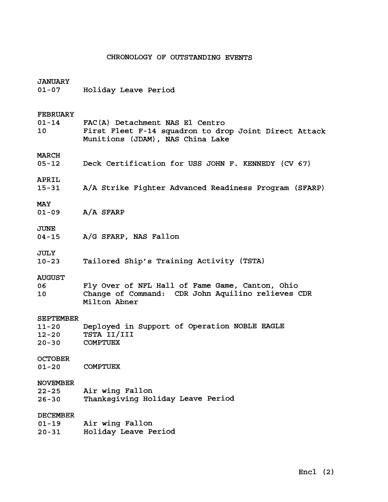## CHRONOLOGY OF OUTSTANDING EVENTS

| <b>JANUARY</b><br>$01 - 07$                             | Holiday Leave Period                                                                                                         |
|---------------------------------------------------------|------------------------------------------------------------------------------------------------------------------------------|
| <b>FEBRUARY</b><br>$01 - 14$<br>10 <sub>1</sub>         | FAC(A) Detachment NAS El Centro<br>First Fleet F-14 squadron to drop Joint Direct Attack<br>Munitions (JDAM), NAS China Lake |
| MARCH<br>$05 - 12$                                      | Deck Certification for USS JOHN F. KENNEDY (CV 67)                                                                           |
| APRIL<br>$15 - 31$                                      | A/A Strike Fighter Advanced Readiness Program (SFARP)                                                                        |
| <b>MAY</b><br>$01 - 09$                                 | $A/A$ SFARP                                                                                                                  |
| <b>JUNE</b><br>$04 - 15$                                | A/G SFARP, NAS Fallon                                                                                                        |
| <b>JULY</b><br>$10 - 23$                                | Tailored Ship's Training Activity (TSTA)                                                                                     |
| <b>AUGUST</b><br>06<br>10 <sub>1</sub>                  | Fly Over of NFL Hall of Fame Game, Canton, Ohio<br>Change of Command: CDR John Aquilino relieves CDR<br>Milton Abner         |
| <b>SEPTEMBER</b><br>$11 - 20$<br>$12 - 20$<br>$20 - 30$ | Deployed in Support of Operation NOBLE EAGLE<br>TSTA II/III<br><b>COMPTUEX</b>                                               |
| <b>OCTOBER</b><br>$01 - 20$                             | <b>COMPTUEX</b>                                                                                                              |
| <b>NOVEMBER</b><br>$22 - 25$<br>$26 - 30$               | Air wing Fallon<br>Thanksgiving Holiday Leave Period                                                                         |
| <b>DECEMBER</b><br>$01 - 19$                            | Air wing Fallon                                                                                                              |

 $\sim$ 

20-31 Holiday Leave Period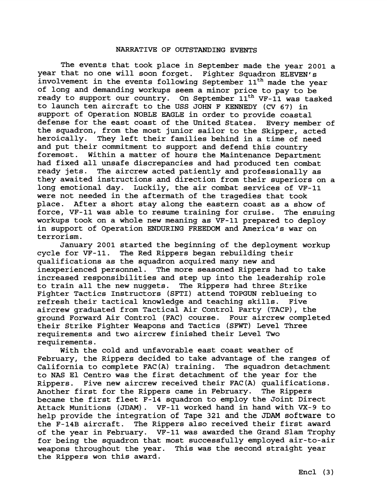## NARRATIVE OF OUTSTANDING EVENTS

 he events that took place in September made the year 2001 a year that no one will soon forget. Fighter Squadron ELEVEN's involvement in the events following September 11<sup>th</sup> made the year of long and demanding workups seem a minor price to pay to be ready to support our country. On September  $11<sup>th</sup>$  VF-11 was tasked to launch ten aircraft to the USS JOHN F KENNEDY (CV 67) in support of Operation NOBLE EAGLE in order to provide coastal defense for the east coast of the United States. Every member of the squadron, from the most junior sailor to the Skipper, acted heroically. They left their families behind in a time of need and put their commitment to support and defend this country foremost. Within a matter of hours the Maintenance Department had fixed all unsafe discrepancies and had produced ten combat ready jets. The aircrew acted patiently and professionally as they awaited instructions and direction from their superiors on a long emotional day. Luckily, the air combat services of VF-11 were not needed in the aftermath of the tragedies that took place. After a short stay along the eastern coast as a show of force, VF-11 was able to resume training for cruise. The ensuing workups took on a whole new meaning as VF-11 prepared to deploy in support of Operation ENDURING FREEDOM and America's war on terrorism.

January 2001 started the beginning of the deployment workup cycle for VF-11. The Red Rippers began rebuilding their qualifications as the squadron acquired many new and inexperienced personnel. The more seasoned Rippers had to take increased responsibilities and step up into the leadership role to train all the new nuggets. The Rippers had three Strike Fighter Tactics Instructors (SFTI) attend TOPGUN reblueing to refresh their tactical knowledge and teaching skills. Five aircrew graduated from Tactical Air Control Party (TACP), the ground Forward Air Control (FAC) course. Four aircrew completed ground Forward Air Control (FAC) course. their Strike Fighter Weapons and Tactics (SFWT) Level Three requirements and two aircrew finished their Level Two requirements.

With the cold and unfavorable east coast weather of February, the Rippers decided to take advantage of the ranges of California to complete FAC(A) training. The squadron detachment to NAS El Centro was the first detachment of the year for the Rippers. Five new aircrew received their FAC(A) qualifications. Another first for the Rippers came in February. The Rippers became the first fleet F-14 squadron to employ the Joint Direct Attack Munitions (JDAM). VF-11 worked hand in hand with VX-9 to help provide the integration of Tape 321 and the **JDAM** software to the F-14B aircraft. The Rippers also received their first award of the year in February. VF-11 was awarded the Grand Slam Trophy for being the squadron that most successfully employed air-to-air weapons throughout the year. This was the second straight year the Rippers won this award.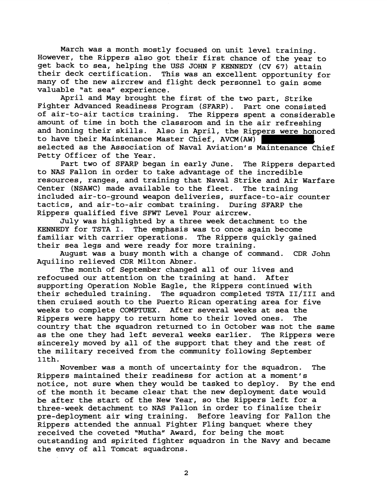March was a month mostly focused on unit level training. However, the Rippers also got their first chance of the year to get back to sea, helping the USS JOHN F KENNEDY (CV 67) attain their deck certification. This was an excellent opportunity for many of the new aircrew and flight deck personnel to gain some valuable "at sea" experience.

April and May brought the first of the two part, Strike Fighter Advanced Readiness Program (SFARP). Part one consisted of air-to-air tactics training. The Rippers spent a considerable amount of time in both the classroom and in the air refreshing and honing their skills. Also in April, the Rippers were honored to have their Maintenance Master Chief, AVCM(AW) selected as the Association of Naval Aviation's Maintenance Chief Petty Officer of the Year.

Part two of SFARP began in early June. The Rippers departed to NAS Fallon in order to take advantage of the incredible resources, ranges, and training that Naval Strike and Air Warfare Center (NSAWC) made available to the fleet. The training included air-to-ground weapon deliveries, surface-to-air counter tactics, and air-to-air combat training. During SFARP the Rippers qualified five SFWT Level Four aircrew.

July was highlighted by a three week detachment to the KENNEDY for TSTA I. The emphasis was to once again become familiar with carrier operations. The Rippers quickly gained their sea legs and were ready for more training.

August was a busy month with a change of command. CDR John Aquilino relieved CDR Milton Abner.

The month of September changed all of our lives and refocused our attention on the training at hand. After supporting Operation Noble Eagle, the Rippers continued with their scheduled training. The squadron completed TSTA **II/III** and then cruised south to the Puerto Rican operating area for five weeks to complete COMPTUEX. After several weeks at sea the Rippers were happy to return home to their loved ones. The country that the squadron returned to in October was not the same as the one they had left several weeks earlier. The Rippers were sincerely moved by all of the support that they and the rest of the military received from the community following September 11th.

November was a month of uncertainty for the squadron. The Rippers maintained their readiness for action at a moment's notice, not sure when they would be tasked to deploy. By the end of the month it became clear that the new deployment date would be after the start of the New Year, so the Rippers left for a three-week detachment to NAS Fallon. in order to finalize their pre-deployment air wing training. Before leaving for Fallon the Rippers attended the annual Fighter Fling banquet where they received the coveted "Mutha" Award, for being the most outstanding and spirited fighter squadron in the Navy and became the envy of all Tomcat squadrons.